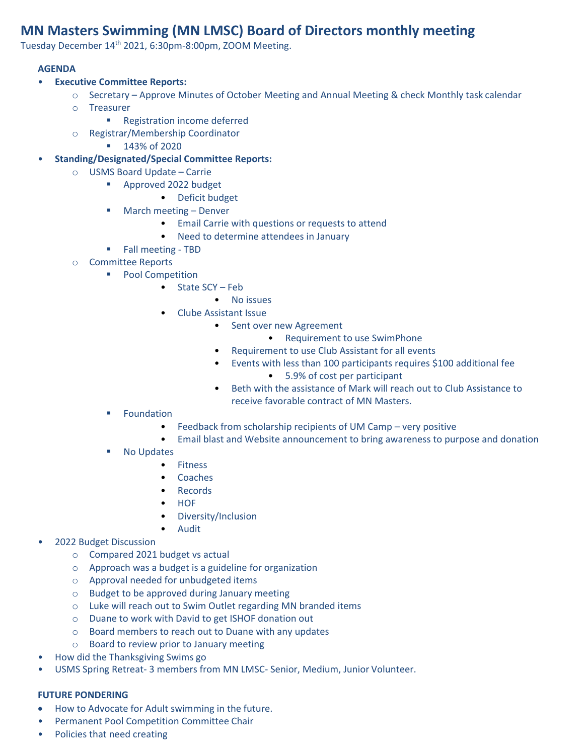## **MN Masters Swimming (MN LMSC) Board of Directors monthly meeting**

Tuesday December 14th 2021, 6:30pm-8:00pm, ZOOM Meeting.

## **AGENDA**

- **Executive Committee Reports:**
	- o Secretary Approve Minutes of October Meeting and Annual Meeting & check Monthly task calendar
	- o Treasurer
		- Registration income deferred
	- o Registrar/Membership Coordinator
		- 143% of 2020
- **Standing/Designated/Special Committee Reports:**
	- o USMS Board Update Carrie
		- Approved 2022 budget
			- Deficit budget
		- March meeting Denver
			- Email Carrie with questions or requests to attend
			- Need to determine attendees in January
		- Fall meeting TBD
	- o Committee Reports
		- Pool Competition
			- State SCY Feb
				- No issues
				- Clube Assistant Issue
					- Sent over new Agreement
						- Requirement to use SwimPhone
					- Requirement to use Club Assistant for all events
					- Events with less than 100 participants requires \$100 additional fee • 5.9% of cost per participant
					- Beth with the assistance of Mark will reach out to Club Assistance to receive favorable contract of MN Masters.
		- **Foundation** 
			- Feedback from scholarship recipients of UM Camp very positive
			- Email blast and Website announcement to bring awareness to purpose and donation
		- No Updates
			- Fitness
			- Coaches
			- Records
			- HOF
			- Diversity/Inclusion
			- **Audit**
- 2022 Budget Discussion
	- o Compared 2021 budget vs actual
	- o Approach was a budget is a guideline for organization
	- o Approval needed for unbudgeted items
	- o Budget to be approved during January meeting
	- o Luke will reach out to Swim Outlet regarding MN branded items
	- o Duane to work with David to get ISHOF donation out
	- o Board members to reach out to Duane with any updates
	- o Board to review prior to January meeting
- How did the Thanksgiving Swims go
- USMS Spring Retreat- 3 members from MN LMSC- Senior, Medium, Junior Volunteer.

## **FUTURE PONDERING**

- How to Advocate for Adult swimming in the future.
- Permanent Pool Competition Committee Chair
- Policies that need creating